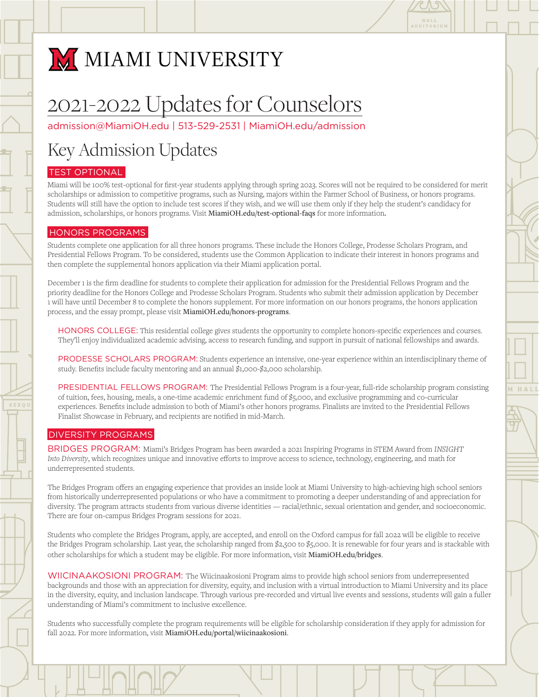

# M MIAMI UNIVERSITY

# 2021-2022 Updates for Counselors

[admission@MiamiOH.edu](mailto:admission@MiamiOH.edu) | 513-529-2531 | [MiamiOH.edu/admission](http://MiamiOH.edu/admission)

## Key Admission Updates

## TEST OPTIONAL

Miami will be 100% test-optional for first-year students applying through spring 2023. Scores will not be required to be considered for merit scholarships or admission to competitive programs, such as Nursing, majors within the Farmer School of Business, or honors programs. Students will still have the option to include test scores if they wish, and we will use them only if they help the student's candidacy for admission, scholarships, or honors programs. Visit MiamiOH.edu/test-optional-faqs for more information.

### HONORS PROGRAMS

Students complete one application for all three honors programs. These include the Honors College, Prodesse Scholars Program, and Presidential Fellows Program. To be considered, students use the Common Application to indicate their interest in honors programs and then complete the supplemental honors application via their Miami application portal.

December 1 is the firm deadline for students to complete their application for admission for the Presidential Fellows Program and the priority deadline for the Honors College and Prodesse Scholars Program. Students who submit their admission application by December 1 will have until December 8 to complete the honors supplement. For more information on our honors programs, the honors application process, and the essay prompt, please visit MiamiOH.edu/honors-programs.

HONORS COLLEGE: This residential college gives students the opportunity to complete honors-specific experiences and courses. They'll enjoy individualized academic advising, access to research funding, and support in pursuit of national fellowships and awards.

PRODESSE SCHOLARS PROGRAM: Students experience an intensive, one-year experience within an interdisciplinary theme of study. Benefits include faculty mentoring and an annual \$1,000-\$2,000 scholarship.

PRESIDENTIAL FELLOWS PROGRAM: The Presidential Fellows Program is a four-year, full-ride scholarship program consisting of tuition, fees, housing, meals, a one-time academic enrichment fund of \$5,000, and exclusive programming and co-curricular experiences. Benefits include admission to both of Miami's other honors programs. Finalists are invited to the Presidential Fellows Finalist Showcase in February, and recipients are notified in mid-March.

### DIVERSITY PROGRAMS

BRIDGES PROGRAM: Miami's Bridges Program has been awarded a 2021 Inspiring Programs in STEM Award from *INSIGHT Into Diversity*, which recognizes unique and innovative efforts to improve access to science, technology, engineering, and math for underrepresented students.

The Bridges Program offers an engaging experience that provides an inside look at Miami University to high-achieving high school seniors from historically underrepresented populations or who have a commitment to promoting a deeper understanding of and appreciation for diversity. The program attracts students from various diverse identities — racial/ethnic, sexual orientation and gender, and socioeconomic. There are four on-campus Bridges Program sessions for 2021.

Students who complete the Bridges Program, apply, are accepted, and enroll on the Oxford campus for fall 2022 will be eligible to receive the Bridges Program scholarship. Last year, the scholarship ranged from \$2,500 to \$5,000. It is renewable for four years and is stackable with other scholarships for which a student may be eligible. For more information, visit MiamiOH.edu/bridges.

WIICINAAKOSIONI PROGRAM: The Wiicinaakosioni Program aims to provide high school seniors from underrepresented backgrounds and those with an appreciation for diversity, equity, and inclusion with a virtual introduction to Miami University and its place in the diversity, equity, and inclusion landscape. Through various pre-recorded and virtual live events and sessions, students will gain a fuller understanding of Miami's commitment to inclusive excellence.

Students who successfully complete the program requirements will be eligible for scholarship consideration if they apply for admission for fall 2022. For more information, visit MiamiOH.edu/portal/wiicinaakosioni.